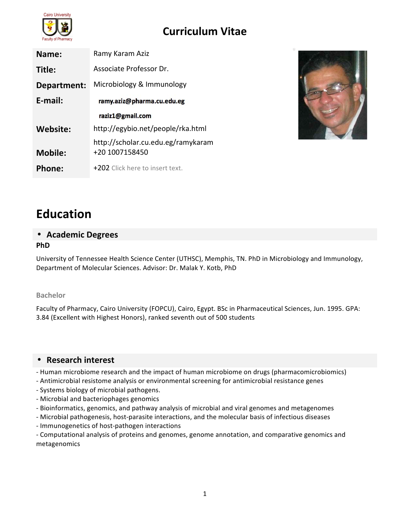

| Name:          | Ramy Karam Aziz                                      |
|----------------|------------------------------------------------------|
| Title:         | Associate Professor Dr.                              |
| Department:    | Microbiology & Immunology                            |
| E-mail:        | ramy.aziz@pharma.cu.edu.eg                           |
|                | raziz1@gmail.com                                     |
| Website:       | http://egybio.net/people/rka.html                    |
| <b>Mobile:</b> | http://scholar.cu.edu.eg/ramykaram<br>+20 1007158450 |
| Phone:         | +202 Click here to insert text.                      |



# **Education**

### • **Academic Degrees PhD**

University of Tennessee Health Science Center (UTHSC), Memphis, TN. PhD in Microbiology and Immunology, Department of Molecular Sciences. Advisor: Dr. Malak Y. Kotb, PhD

### **Bachelor**

Faculty of Pharmacy, Cairo University (FOPCU), Cairo, Egypt. BSc in Pharmaceutical Sciences, Jun. 1995. GPA: 3.84 (Excellent with Highest Honors), ranked seventh out of 500 students

### • **Research interest**

- Human microbiome research and the impact of human microbiome on drugs (pharmacomicrobiomics)
- Antimicrobial resistome analysis or environmental screening for antimicrobial resistance genes
- Systems biology of microbial pathogens.
- Microbial and bacteriophages genomics
- Bioinformatics, genomics, and pathway analysis of microbial and viral genomes and metagenomes
- Microbial pathogenesis, host-parasite interactions, and the molecular basis of infectious diseases
- Immunogenetics of host-pathogen interactions

- Computational analysis of proteins and genomes, genome annotation, and comparative genomics and metagenomics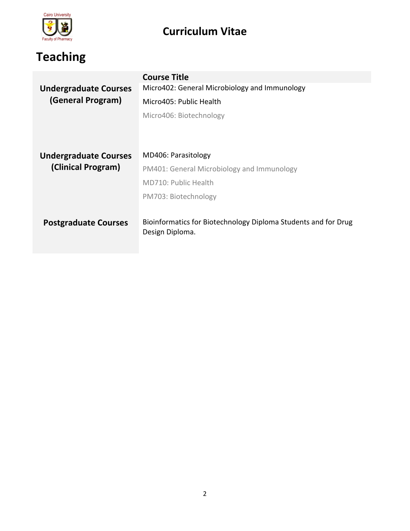

# **Teaching**

|                              | <b>Course Title</b>                                                               |
|------------------------------|-----------------------------------------------------------------------------------|
| <b>Undergraduate Courses</b> | Micro402: General Microbiology and Immunology                                     |
| (General Program)            | Micro405: Public Health                                                           |
|                              | Micro406: Biotechnology                                                           |
|                              |                                                                                   |
|                              |                                                                                   |
| <b>Undergraduate Courses</b> | MD406: Parasitology                                                               |
| (Clinical Program)           | PM401: General Microbiology and Immunology                                        |
|                              | MD710: Public Health                                                              |
|                              | PM703: Biotechnology                                                              |
|                              |                                                                                   |
| <b>Postgraduate Courses</b>  | Bioinformatics for Biotechnology Diploma Students and for Drug<br>Design Diploma. |
|                              |                                                                                   |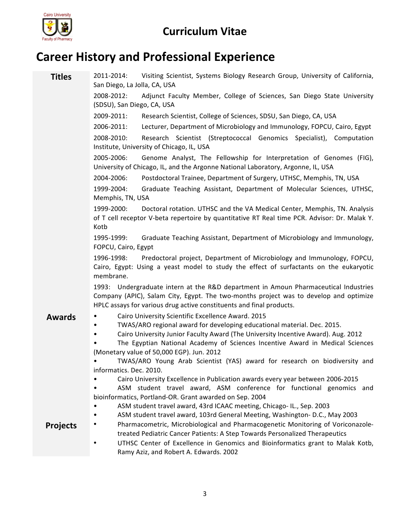

### **Career History and Professional Experience**

**Titles** 2011-2014: Visiting Scientist, Systems Biology Research Group, University of California, San Diego, La Jolla, CA, USA

> 2008-2012: Adjunct Faculty Member, College of Sciences, San Diego State University (SDSU), San Diego, CA, USA

2009-2011: Research Scientist, College of Sciences, SDSU, San Diego, CA, USA

2006-2011: Lecturer, Department of Microbiology and Immunology, FOPCU, Cairo, Egypt

2008-2010: Research Scientist (Streptococcal Genomics Specialist), Computation Institute, University of Chicago, IL, USA

2005-2006: Genome Analyst, The Fellowship for Interpretation of Genomes (FIG), University of Chicago, IL, and the Argonne National Laboratory, Argonne, IL, USA

2004-2006: Postdoctoral Trainee, Department of Surgery, UTHSC, Memphis, TN, USA

1999-2004: Graduate Teaching Assistant, Department of Molecular Sciences, UTHSC, Memphis, TN, USA

1999-2000: Doctoral rotation. UTHSC and the VA Medical Center, Memphis, TN. Analysis of T cell receptor V-beta repertoire by quantitative RT Real time PCR. Advisor: Dr. Malak Y. Kotb

1995-1999: Graduate Teaching Assistant, Department of Microbiology and Immunology, FOPCU, Cairo, Egypt

1996-1998: Predoctoral project, Department of Microbiology and Immunology, FOPCU, Cairo, Egypt: Using a yeast model to study the effect of surfactants on the eukaryotic membrane.

1993: Undergraduate intern at the R&D department in Amoun Pharmaceutical Industries Company (APIC), Salam City, Egypt. The two-months project was to develop and optimize HPLC assays for various drug active constituents and final products.

- **Awards** Cairo University Scientific Excellence Award. 2015<br>TWAS/ARO regional award for developing education
	- TWAS/ARO regional award for developing educational material. Dec. 2015.
	- Cairo University Junior Faculty Award (The University Incentive Award). Aug. 2012

The Egyptian National Academy of Sciences Incentive Award in Medical Sciences (Monetary value of 50,000 EGP). Jun. 2012

TWAS/ARO Young Arab Scientist (YAS) award for research on biodiversity and informatics. Dec. 2010.

Cairo University Excellence in Publication awards every year between 2006-2015

ASM student travel award, ASM conference for functional genomics and bioinformatics, Portland-OR. Grant awarded on Sep. 2004

- ASM student travel award, 43rd ICAAC meeting, Chicago- IL., Sep. 2003
- ASM student travel award, 103rd General Meeting, Washington- D.C., May 2003

- **Projects** Pharmacometric, Microbiological and Pharmacogenetic Monitoring of Voriconazoletreated Pediatric Cancer Patients: A Step Towards Personalized Therapeutics
	- UTHSC Center of Excellence in Genomics and Bioinformatics grant to Malak Kotb, Ramy Aziz, and Robert A. Edwards. 2002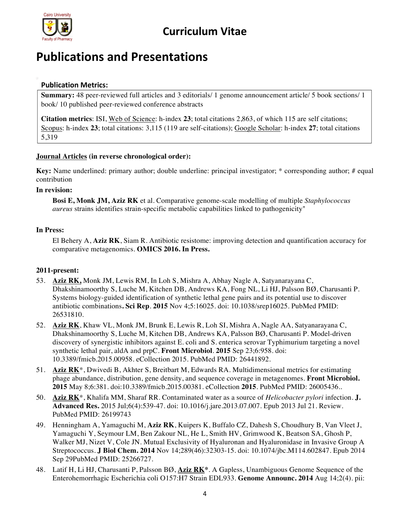

### **Publications and Presentations**

### **Publication Metrics:**

**Summary:** 48 peer-reviewed full articles and 3 editorials/ 1 genome announcement article/ 5 book sections/ 1 book/ 10 published peer-reviewed conference abstracts

**Citation metrics**: ISI, Web of Science: h-index **23**; total citations 2,863, of which 115 are self citations; Scopus: h-index **23**; total citations: 3,115 (119 are self-citations); Google Scholar: h-index **27**; total citations 5,319

#### **Journal Articles (in reverse chronological order):**

**Key:** Name underlined: primary author; double underline: principal investigator; \* corresponding author; # equal contribution

#### **In revision:**

**Bosi E, Monk JM, Aziz RK** et al. Comparative genome-scale modelling of multiple *Staphylococcus aureus* strains identifies strain-specific metabolic capabilities linked to pathogenicity"

#### **In Press:**

El Behery A, **Aziz RK**, Siam R. Antibiotic resistome: improving detection and quantification accuracy for comparative metagenomics. **OMICS 2016. In Press.**

#### **2011-present:**

- 53. **Aziz RK,** Monk JM, Lewis RM, In Loh S, Mishra A, Abhay Nagle A, Satyanarayana C, Dhakshinamoorthy S, Luche M, Kitchen DB, Andrews KA, Fong NL, Li HJ, Palsson BØ, Charusanti P. Systems biology-guided identification of synthetic lethal gene pairs and its potential use to discover antibiotic combinations**. Sci Rep**. **2015** Nov 4;5:16025. doi: 10.1038/srep16025. PubMed PMID: 26531810.
- 52. **Aziz RK**, Khaw VL, Monk JM, Brunk E, Lewis R, Loh SI, Mishra A, Nagle AA, Satyanarayana C, Dhakshinamoorthy S, Luche M, Kitchen DB, Andrews KA, Palsson BØ, Charusanti P. Model-driven discovery of synergistic inhibitors against E. coli and S. enterica serovar Typhimurium targeting a novel synthetic lethal pair, aldA and prpC. **Front Microbiol**. **2015** Sep 23;6:958. doi: 10.3389/fmicb.2015.00958. eCollection 2015. PubMed PMID: 26441892.
- 51. **Aziz RK**\*, Dwivedi B, Akhter S, Breitbart M, Edwards RA. Multidimensional metrics for estimating phage abundance, distribution, gene density, and sequence coverage in metagenomes. **Front Microbiol. 2015** May 8;6:381. doi:10.3389/fmicb.2015.00381. eCollection **2015**. PubMed PMID: 26005436..
- 50. **Aziz RK**\*, Khalifa MM, Sharaf RR. Contaminated water as a source of *Helicobacter pylori* infection. **J. Advanced Res.** 2015 Jul;6(4):539-47. doi: 10.1016/j.jare.2013.07.007. Epub 2013 Jul 21. Review. PubMed PMID: 26199743
- 49. Henningham A, Yamaguchi M, **Aziz RK**, Kuipers K, Buffalo CZ, Dahesh S, Choudhury B, Van Vleet J, Yamaguchi Y, Seymour LM, Ben Zakour NL, He L, Smith HV, Grimwood K, Beatson SA, Ghosh P, Walker MJ, Nizet V, Cole JN. Mutual Exclusivity of Hyaluronan and Hyaluronidase in Invasive Group A Streptococcus. **J Biol Chem. 2014** Nov 14;289(46):32303-15. doi: 10.1074/jbc.M114.602847. Epub 2014 Sep 29PubMed PMID: 25266727.
- 48. Latif H, Li HJ, Charusanti P, Palsson BØ, **Aziz RK\***. A Gapless, Unambiguous Genome Sequence of the Enterohemorrhagic Escherichia coli O157:H7 Strain EDL933. **Genome Announc. 2014** Aug 14;2(4). pii: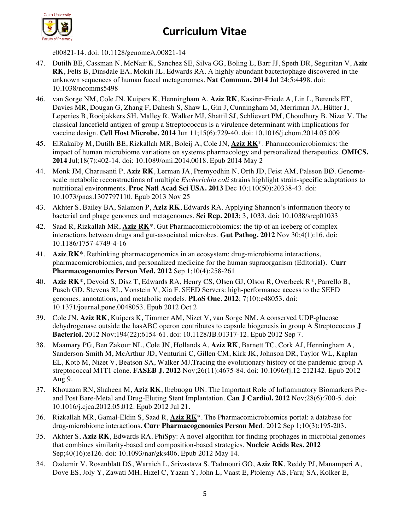

e00821-14. doi: 10.1128/genomeA.00821-14

- 47. Dutilh BE, Cassman N, McNair K, Sanchez SE, Silva GG, Boling L, Barr JJ, Speth DR, Seguritan V, **Aziz RK**, Felts B, Dinsdale EA, Mokili JL, Edwards RA. A highly abundant bacteriophage discovered in the unknown sequences of human faecal metagenomes. **Nat Commun. 2014** Jul 24;5:4498. doi: 10.1038/ncomms5498
- 46. van Sorge NM, Cole JN, Kuipers K, Henningham A, **Aziz RK**, Kasirer-Friede A, Lin L, Berends ET, Davies MR, Dougan G, Zhang F, Dahesh S, Shaw L, Gin J, Cunningham M, Merriman JA, Hütter J, Lepenies B, Rooijakkers SH, Malley R, Walker MJ, Shattil SJ, Schlievert PM, Choudhury B, Nizet V. The classical lancefield antigen of group a Streptococcus is a virulence determinant with implications for vaccine design. **Cell Host Microbe. 2014** Jun 11;15(6):729-40. doi: 10.1016/j.chom.2014.05.009
- 45. ElRakaiby M, Dutilh BE, Rizkallah MR, Boleij A, Cole JN, **Aziz RK**\*. Pharmacomicrobiomics: the impact of human microbiome variations on systems pharmacology and personalized therapeutics. **OMICS. 2014** Jul;18(7):402-14. doi: 10.1089/omi.2014.0018. Epub 2014 May 2
- 44. Monk JM, Charusanti P, **Aziz RK**, Lerman JA, Premyodhin N, Orth JD, Feist AM, Palsson BØ. Genomescale metabolic reconstructions of multiple *Escherichia coli* strains highlight strain-specific adaptations to nutritional environments. **Proc Natl Acad Sci USA. 2013** Dec 10;110(50):20338-43. doi: 10.1073/pnas.1307797110. Epub 2013 Nov 25
- 43. Akhter S, Bailey BA, Salamon P, **Aziz RK**, Edwards RA. Applying Shannon's information theory to bacterial and phage genomes and metagenomes. **Sci Rep. 2013**; 3, 1033. doi: 10.1038/srep01033
- 42. Saad R, Rizkallah MR, **Aziz RK\***. Gut Pharmacomicrobiomics: the tip of an iceberg of complex interactions between drugs and gut-associated microbes. **Gut Pathog. 2012** Nov 30;4(1):16. doi: 10.1186/1757-4749-4-16
- 41. **Aziz RK\***. Rethinking pharmacogenomics in an ecosystem: drug-microbiome interactions, pharmacomicrobiomics, and personalized medicine for the human supraorganism (Editorial). **Curr Pharmacogenomics Person Med. 2012** Sep 1;10(4):258-261
- 40. **Aziz RK\***, Devoid S, Disz T, Edwards RA, Henry CS, Olsen GJ, Olson R, Overbeek R\*, Parrello B, Pusch GD, Stevens RL, Vonstein V, Xia F. SEED Servers: high-performance access to the SEED genomes, annotations, and metabolic models. **PLoS One. 2012**; 7(10):e48053. doi: 10.1371/journal.pone.0048053. Epub 2012 Oct 2
- 39. Cole JN, **Aziz RK**, Kuipers K, Timmer AM, Nizet V, van Sorge NM. A conserved UDP-glucose dehydrogenase outside the hasABC operon contributes to capsule biogenesis in group A Streptococcus **J Bacteriol.** 2012 Nov;194(22):6154-61. doi: 10.1128/JB.01317-12. Epub 2012 Sep 7.
- 38. Maamary PG, Ben Zakour NL, Cole JN, Hollands A, **Aziz RK**, Barnett TC, Cork AJ, Henningham A, Sanderson-Smith M, McArthur JD, Venturini C, Gillen CM, Kirk JK, Johnson DR, Taylor WL, Kaplan EL, Kotb M, Nizet V, Beatson SA, Walker MJ.Tracing the evolutionary history of the pandemic group A streptococcal M1T1 clone. **FASEB J. 2012** Nov;26(11):4675-84. doi: 10.1096/fj.12-212142. Epub 2012 Aug 9.
- 37. Khouzam RN, Shaheen M, **Aziz RK**, Ibebuogu UN. The Important Role of Inflammatory Biomarkers Preand Post Bare-Metal and Drug-Eluting Stent Implantation. **Can J Cardiol. 2012** Nov;28(6):700-5. doi: 10.1016/j.cjca.2012.05.012. Epub 2012 Jul 21.
- 36. Rizkallah MR, Gamal-Eldin S, Saad R, **Aziz RK**\*. The Pharmacomicrobiomics portal: a database for drug-microbiome interactions. **Curr Pharmacogenomics Person Med**. 2012 Sep 1;10(3):195-203.
- 35. Akhter S, **Aziz RK**, Edwards RA. PhiSpy: A novel algorithm for finding prophages in microbial genomes that combines similarity-based and composition-based strategies. **Nucleic Acids Res. 2012** Sep;40(16):e126. doi: 10.1093/nar/gks406. Epub 2012 May 14.
- 34. Ozdemir V, Rosenblatt DS, Warnich L, Srivastava S, Tadmouri GO, **Aziz RK**, Reddy PJ, Manamperi A, Dove ES, Joly Y, Zawati MH, Hızel C, Yazan Y, John L, Vaast E, Ptolemy AS, Faraj SA, Kolker E,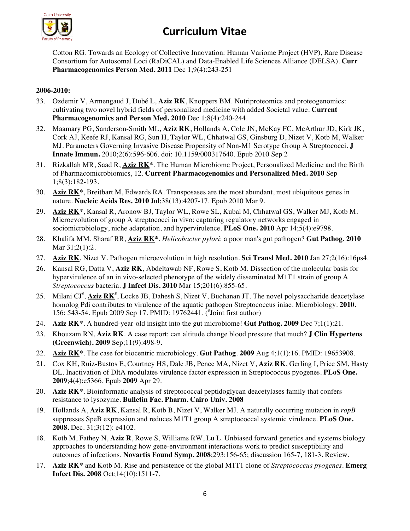

Cotton RG. Towards an Ecology of Collective Innovation: Human Variome Project (HVP), Rare Disease Consortium for Autosomal Loci (RaDiCAL) and Data-Enabled Life Sciences Alliance (DELSA). **Curr Pharmacogenomics Person Med. 2011** Dec 1;9(4):243-251

#### **2006-2010:**

- 33. Ozdemir V, Armengaud J, Dubé L, **Aziz RK**, Knoppers BM. Nutriproteomics and proteogenomics: cultivating two novel hybrid fields of personalized medicine with added Societal value. **Current Pharmacogenomics and Person Med. 2010** Dec 1;8(4):240-244.
- 32. Maamary PG, Sanderson-Smith ML, **Aziz RK**, Hollands A, Cole JN, McKay FC, McArthur JD, Kirk JK, Cork AJ, Keefe RJ, Kansal RG, Sun H, Taylor WL, Chhatwal GS, Ginsburg D, Nizet V, Kotb M, Walker MJ. Parameters Governing Invasive Disease Propensity of Non-M1 Serotype Group A Streptococci. **J Innate Immun.** 2010;2(6):596-606. doi: 10.1159/000317640. Epub 2010 Sep 2
- 31. Rizkallah MR, Saad R, **Aziz RK\***. The Human Microbiome Project, Personalized Medicine and the Birth of Pharmacomicrobiomics, 12. **Current Pharmacogenomics and Personalized Med. 2010** Sep 1;8(3):182-193.
- 30. **Aziz RK\***, Breitbart M, Edwards RA. Transposases are the most abundant, most ubiquitous genes in nature. **Nucleic Acids Res. 2010** Jul;38(13):4207-17. Epub 2010 Mar 9.
- 29. **Aziz RK\***, Kansal R, Aronow BJ, Taylor WL, Rowe SL, Kubal M, Chhatwal GS, Walker MJ, Kotb M. Microevolution of group A streptococci in vivo: capturing regulatory networks engaged in sociomicrobiology, niche adaptation, and hypervirulence. **PLoS One. 2010** Apr 14;5(4):e9798.
- 28. Khalifa MM, Sharaf RR, **Aziz RK\***. *Helicobacter pylori*: a poor man's gut pathogen? **Gut Pathog. 2010** Mar 31;2(1):2.
- 27. **Aziz RK**, Nizet V. Pathogen microevolution in high resolution. **Sci Transl Med. 2010** Jan 27;2(16):16ps4.
- 26. Kansal RG, Datta V, **Aziz RK**, Abdeltawab NF, Rowe S, Kotb M. Dissection of the molecular basis for hypervirulence of an in vivo-selected phenotype of the widely disseminated M1T1 strain of group A *Streptococcus* bacteria. **J Infect Dis. 2010** Mar 15;201(6):855-65.
- 25. Milani CJ<sup>#</sup>, *Aziz RK*<sup>#</sup>, Locke JB, Dahesh S, Nizet V, Buchanan JT. The novel polysaccharide deacetylase homolog Pdi contributes to virulence of the aquatic pathogen Streptococcus iniae. Microbiology. **2010**. 156: 543-54. Epub 2009 Sep 17. PMID: 19762441. (# Joint first author)
- 24. **Aziz RK\***. A hundred-year-old insight into the gut microbiome! **Gut Pathog. 2009** Dec 7;1(1):21.
- 23. Khouzam RN, **Aziz RK**. A case report: can altitude change blood pressure that much? **J Clin Hypertens (Greenwich). 2009** Sep;11(9):498-9.
- 22. **Aziz RK\***. The case for biocentric microbiology. **Gut Pathog**. **2009** Aug 4;1(1):16. PMID: 19653908.
- 21. Cox KH, Ruiz-Bustos E, Courtney HS, Dale JB, Pence MA, Nizet V, **Aziz RK**, Gerling I, Price SM, Hasty DL. Inactivation of DltA modulates virulence factor expression in Streptococcus pyogenes. **PLoS One. 2009**;4(4):e5366. Epub **2009** Apr 29.
- 20. **Aziz RK\***. Bioinformatic analysis of streptococcal peptidoglycan deacetylases family that confers resistance to lysozyme. **Bulletin Fac. Pharm. Cairo Univ. 2008**
- 19. Hollands A, **Aziz RK**, Kansal R, Kotb B, Nizet V, Walker MJ. A naturally occurring mutation in *ropB* suppresses SpeB expression and reduces M1T1 group A streptococcal systemic virulence. **PLoS One. 2008.** Dec. 31;3(12): e4102.
- 18. Kotb M, Fathey N, **Aziz R**, Rowe S, Williams RW, Lu L. Unbiased forward genetics and systems biology approaches to understanding how gene-environment interactions work to predict susceptibility and outcomes of infections. **Novartis Found Symp. 2008**;293:156-65; discussion 165-7, 181-3. Review.
- 17. **Aziz RK\*** and Kotb M. Rise and persistence of the global M1T1 clone of *Streptococcus pyogenes*. **Emerg Infect Dis. 2008** Oct;14(10):1511-7.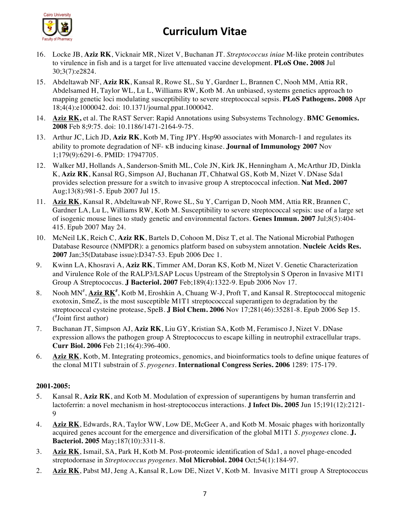

- 16. Locke JB, **Aziz RK**, Vicknair MR, Nizet V, Buchanan JT. *Streptococcus iniae* M-like protein contributes to virulence in fish and is a target for live attenuated vaccine development. **PLoS One. 2008** Jul 30;3(7):e2824.
- 15. Abdeltawab NF, **Aziz RK**, Kansal R, Rowe SL, Su Y, Gardner L, Brannen C, Nooh MM, Attia RR, Abdelsamed H, Taylor WL, Lu L, Williams RW, Kotb M. An unbiased, systems genetics approach to mapping genetic loci modulating susceptibility to severe streptococcal sepsis. **PLoS Pathogens. 2008** Apr 18;4(4):e1000042. doi: 10.1371/journal.ppat.1000042.
- 14. **Aziz RK,** et al. The RAST Server: Rapid Annotations using Subsystems Technology. **BMC Genomics. 2008** Feb 8;9:75. doi: 10.1186/1471-2164-9-75.
- 13. Arthur JC, Lich JD, **Aziz RK**, Kotb M, Ting JPY. Hsp90 associates with Monarch-1 and regulates its ability to promote degradation of NF- κB inducing kinase. **Journal of Immunology 2007** Nov 1;179(9):6291-6. PMID: 17947705.
- 12. Walker MJ, Hollands A, Sanderson-Smith ML, Cole JN, Kirk JK, Henningham A, McArthur JD, Dinkla K, **Aziz RK**, Kansal RG, Simpson AJ, Buchanan JT, Chhatwal GS, Kotb M, Nizet V. DNase Sda1 provides selection pressure for a switch to invasive group A streptococcal infection. **Nat Med. 2007** Aug;13(8):981-5. Epub 2007 Jul 15.
- 11. **Aziz RK**, Kansal R, Abdeltawab NF, Rowe SL, Su Y, Carrigan D, Nooh MM, Attia RR, Brannen C, Gardner LA, Lu L, Williams RW, Kotb M. Susceptibility to severe streptococcal sepsis: use of a large set of isogenic mouse lines to study genetic and environmental factors. **Genes Immun. 2007** Jul;8(5):404- 415. Epub 2007 May 24.
- 10. McNeil LK, Reich C, **Aziz RK**, Bartels D, Cohoon M, Disz T, et al. The National Microbial Pathogen Database Resource (NMPDR): a genomics platform based on subsystem annotation. **Nucleic Acids Res. 2007** Jan;35(Database issue):D347-53. Epub 2006 Dec 1.
- 9. Kwinn LA, Khosravi A, **Aziz RK**, Timmer AM, Doran KS, Kotb M, Nizet V. Genetic Characterization and Virulence Role of the RALP3/LSAP Locus Upstream of the Streptolysin S Operon in Invasive M1T1 Group A Streptococcus. **J Bacteriol. 2007** Feb;189(4):1322-9. Epub 2006 Nov 17.
- 8. Nooh MN<sup>#</sup>, **Aziz RK<sup>#</sup>**, Kotb M, Eroshkin A, Chuang W-J, Proft T, and Kansal R. Streptococcal mitogenic exotoxin, SmeZ, is the most susceptible M1T1 streptococccal superantigen to degradation by the streptococcal cysteine protease, SpeB. **J Biol Chem. 2006** Nov 17;281(46):35281-8. Epub 2006 Sep 15. ( # Joint first author)
- 7. Buchanan JT, Simpson AJ, **Aziz RK**, Liu GY, Kristian SA, Kotb M, Feramisco J, Nizet V. DNase expression allows the pathogen group A Streptococcus to escape killing in neutrophil extracellular traps. **Curr Biol. 2006** Feb 21;16(4):396-400.
- 6. **Aziz RK**, Kotb, M. Integrating proteomics, genomics, and bioinformatics tools to define unique features of the clonal M1T1 substrain of *S. pyogenes*. **International Congress Series. 2006** 1289: 175-179.

#### **2001-2005:**

- 5. Kansal R, **Aziz RK**, and Kotb M. Modulation of expression of superantigens by human transferrin and lactoferrin: a novel mechanism in host-streptococcus interactions. **J Infect Dis. 2005** Jun 15;191(12):2121- 9
- 4. **Aziz RK**, Edwards, RA, Taylor WW, Low DE, McGeer A, and Kotb M. Mosaic phages with horizontally acquired genes account for the emergence and diversification of the global M1T1 *S. pyogenes* clone. **J. Bacteriol. 2005** May;187(10):3311-8.
- 3. **Aziz RK**, Ismail, SA, Park H, Kotb M. Post-proteomic identification of Sda1, a novel phage-encoded streptodornase in *Streptococcus pyogenes*. **Mol Microbiol. 2004** Oct;54(1):184-97.
- 2. **Aziz RK**, Pabst MJ, Jeng A, Kansal R, Low DE, Nizet V, Kotb M. Invasive M1T1 group A Streptococcus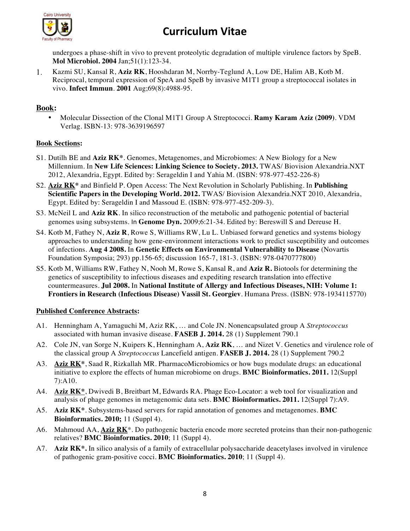

undergoes a phase-shift in vivo to prevent proteolytic degradation of multiple virulence factors by SpeB. **Mol Microbiol. 2004** Jan;51(1):123-34.

1. Kazmi SU, Kansal R, **Aziz RK**, Hooshdaran M, Norrby-Teglund A, Low DE, Halim AB, Kotb M. Reciprocal, temporal expression of SpeA and SpeB by invasive M1T1 group a streptococcal isolates in vivo. **Infect Immun**. **2001** Aug;69(8):4988-95.

### **Book:**

• Molecular Dissection of the Clonal M1T1 Group A Streptococci. **Ramy Karam Aziz (2009)**. VDM Verlag. ISBN-13: 978-3639196597

#### **Book Sections:**

- S1. Dutilh BE and **Aziz RK\***. Genomes, Metagenomes, and Microbiomes: A New Biology for a New Millennium. In **New Life Sciences: Linking Science to Society. 2013.** TWAS/ Biovision Alexandria.NXT 2012, Alexandria, Egypt. Edited by: Serageldin I and Yahia M. (ISBN: 978-977-452-226-8)
- S2. **Aziz RK\*** and Binfield P. Open Access: The Next Revolution in Scholarly Publishing. In **Publishing Scientific Papers in the Developing World. 2012.** TWAS/ Biovision Alexandria.NXT 2010, Alexandria, Egypt. Edited by: Serageldin I and Massoud E. (ISBN: 978-977-452-209-3).
- S3. McNeil L and **Aziz RK**. In silico reconstruction of the metabolic and pathogenic potential of bacterial genomes using subsystems. In **Genome Dyn.** 2009;6:21-34. Edited by: Bereswill S and Dereuse H.
- S4. Kotb M, Fathey N, **Aziz R**, Rowe S, Williams RW, Lu L. Unbiased forward genetics and systems biology approaches to understanding how gene-environment interactions work to predict susceptibility and outcomes of infections. **Aug 4 2008.** In **Genetic Effects on Environmental Vulnerability to Disease** (Novartis Foundation Symposia; 293) pp.156-65; discussion 165-7, 181-3. (ISBN: 978-0470777800)
- S5. Kotb M, Williams RW, Fathey N, Nooh M, Rowe S, Kansal R, and **Aziz R.** Biotools for determining the genetics of susceptibility to infectious diseases and expediting research translation into effective countermeasures. **Jul 2008.** In **National Institute of Allergy and Infectious Diseases, NIH: Volume 1: Frontiers in Research (Infectious Disease) Vassil St. Georgiev**. Humana Press. (ISBN: 978-1934115770)

#### **Published Conference Abstracts:**

- A1. Henningham A, Yamaguchi M, Aziz RK, … and Cole JN. Nonencapsulated group A *Streptococcus* associated with human invasive disease. **FASEB J. 2014.** 28 (1) Supplement 790.1
- A2. Cole JN, van Sorge N, Kuipers K, Henningham A, **Aziz RK**, … and Nizet V. Genetics and virulence role of the classical group A *Streptococcus* Lancefield antigen. **FASEB J. 2014.** 28 (1) Supplement 790.2
- A3. **Aziz RK\***, Saad R, Rizkallah MR. PharmacoMicrobiomics or how bugs modulate drugs: an educational initiative to explore the effects of human microbiome on drugs. **BMC Bioinformatics. 2011.** 12(Suppl 7):A10.
- A4. **Aziz RK\***, Dwivedi B, Breitbart M, Edwards RA. Phage Eco-Locator: a web tool for visualization and analysis of phage genomes in metagenomic data sets. **BMC Bioinformatics. 2011.** 12(Suppl 7):A9.
- A5. **Aziz RK\***. Subsystems-based servers for rapid annotation of genomes and metagenomes. **BMC Bioinformatics. 2010;** 11 (Suppl 4).
- A6. Mahmoud AA, **Aziz RK**\*. Do pathogenic bacteria encode more secreted proteins than their non-pathogenic relatives? **BMC Bioinformatics. 2010**; 11 (Suppl 4).
- A7. **Aziz RK\*.** In silico analysis of a family of extracellular polysaccharide deacetylases involved in virulence of pathogenic gram-positive cocci. **BMC Bioinformatics. 2010**; 11 (Suppl 4).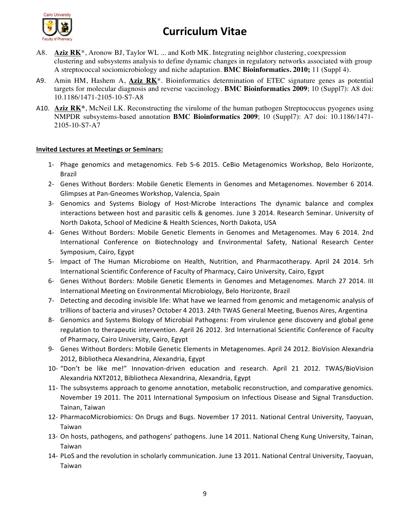

- A8. **Aziz RK**\*, Aronow BJ, Taylor WL ... and Kotb MK. Integrating neighbor clustering, coexpression clustering and subsystems analysis to define dynamic changes in regulatory networks associated with group A streptococcal sociomicrobiology and niche adaptation. **BMC Bioinformatics. 2010;** 11 (Suppl 4).
- A9. Amin HM, Hashem A, **Aziz RK**\*. Bioinformatics determination of ETEC signature genes as potential targets for molecular diagnosis and reverse vaccinology. **BMC Bioinformatics 2009**; 10 (Suppl7): A8 doi: 10.1186/1471-2105-10-S7-A8
- A10. **Aziz RK\***, McNeil LK. Reconstructing the virulome of the human pathogen Streptococcus pyogenes using NMPDR subsystems-based annotation **BMC Bioinformatics 2009**; 10 (Suppl7): A7 doi: 10.1186/1471- 2105-10-S7-A7

#### **Invited Lectures at Meetings or Seminars:**

- 1- Phage genomics and metagenomics. Feb 5-6 2015. CeBio Metagenomics Workshop, Belo Horizonte, Brazil
- 2- Genes Without Borders: Mobile Genetic Elements in Genomes and Metagenomes. November 6 2014. Glimpses at Pan-Gneomes Workshop, Valencia, Spain
- 3- Genomics and Systems Biology of Host-Microbe Interactions The dynamic balance and complex interactions between host and parasitic cells & genomes. June 3 2014. Research Seminar. University of North Dakota, School of Medicine & Health Sciences, North Dakota, USA
- 4- Genes Without Borders: Mobile Genetic Elements in Genomes and Metagenomes. May 6 2014. 2nd International Conference on Biotechnology and Environmental Safety, National Research Center Symposium, Cairo, Egypt
- 5- Impact of The Human Microbiome on Health, Nutrition, and Pharmacotherapy. April 24 2014. 5rh International Scientific Conference of Faculty of Pharmacy, Cairo University, Cairo, Egypt
- 6- Genes Without Borders: Mobile Genetic Elements in Genomes and Metagenomes. March 27 2014. III International Meeting on Environmental Microbiology, Belo Horizonte, Brazil
- 7- Detecting and decoding invisible life: What have we learned from genomic and metagenomic analysis of trillions of bacteria and viruses? October 4 2013. 24th TWAS General Meeting, Buenos Aires, Argentina
- 8- Genomics and Systems Biology of Microbial Pathogens: From virulence gene discovery and global gene regulation to therapeutic intervention. April 26 2012. 3rd International Scientific Conference of Faculty of Pharmacy, Cairo University, Cairo, Egypt
- 9- Genes Without Borders: Mobile Genetic Elements in Metagenomes. April 24 2012. BioVision Alexandria 2012, Bibliotheca Alexandrina, Alexandria, Egypt
- 10- "Don't be like me!" Innovation-driven education and research. April 21 2012. TWAS/BioVision Alexandria NXT2012, Bibliotheca Alexandrina, Alexandria, Egypt
- 11- The subsystems approach to genome annotation, metabolic reconstruction, and comparative genomics. November 19 2011. The 2011 International Symposium on Infectious Disease and Signal Transduction. Tainan, Taiwan
- 12- PharmacoMicrobiomics: On Drugs and Bugs. November 17 2011. National Central University, Taoyuan, Taiwan
- 13- On hosts, pathogens, and pathogens' pathogens. June 14 2011. National Cheng Kung University, Tainan, Taiwan
- 14- PLoS and the revolution in scholarly communication. June 13 2011. National Central University, Taoyuan, Taiwan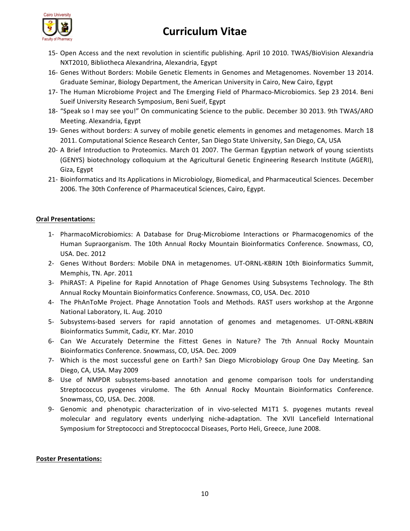



- 15- Open Access and the next revolution in scientific publishing. April 10 2010. TWAS/BioVision Alexandria NXT2010, Bibliotheca Alexandrina, Alexandria, Egypt
- 16- Genes Without Borders: Mobile Genetic Elements in Genomes and Metagenomes. November 13 2014. Graduate Seminar, Biology Department, the American University in Cairo, New Cairo, Egypt
- 17- The Human Microbiome Project and The Emerging Field of Pharmaco-Microbiomics. Sep 23 2014. Beni Sueif University Research Symposium, Beni Sueif, Egypt
- 18- "Speak so I may see you!" On communicating Science to the public. December 30 2013. 9th TWAS/ARO Meeting. Alexandria, Egypt
- 19- Genes without borders: A survey of mobile genetic elements in genomes and metagenomes. March 18 2011. Computational Science Research Center, San Diego State University, San Diego, CA, USA
- 20- A Brief Introduction to Proteomics. March 01 2007. The German Egyptian network of young scientists (GENYS) biotechnology colloquium at the Agricultural Genetic Engineering Research Institute (AGERI), Giza, Egypt
- 21- Bioinformatics and Its Applications in Microbiology, Biomedical, and Pharmaceutical Sciences. December 2006. The 30th Conference of Pharmaceutical Sciences, Cairo, Egypt.

#### **Oral Presentations:**

- 1- PharmacoMicrobiomics: A Database for Drug-Microbiome Interactions or Pharmacogenomics of the Human Supraorganism. The 10th Annual Rocky Mountain Bioinformatics Conference. Snowmass, CO, USA. Dec. 2012
- 2- Genes Without Borders: Mobile DNA in metagenomes. UT-ORNL-KBRIN 10th Bioinformatics Summit, Memphis, TN. Apr. 2011
- 3- PhiRAST: A Pipeline for Rapid Annotation of Phage Genomes Using Subsystems Technology. The 8th Annual Rocky Mountain Bioinformatics Conference. Snowmass, CO, USA. Dec. 2010
- 4- The PhAnToMe Project. Phage Annotation Tools and Methods. RAST users workshop at the Argonne National Laboratory, IL. Aug. 2010
- 5- Subsystems-based servers for rapid annotation of genomes and metagenomes. UT-ORNL-KBRIN Bioinformatics Summit, Cadiz, KY. Mar. 2010
- 6- Can We Accurately Determine the Fittest Genes in Nature? The 7th Annual Rocky Mountain Bioinformatics Conference. Snowmass, CO, USA. Dec. 2009
- 7- Which is the most successful gene on Earth? San Diego Microbiology Group One Day Meeting. San Diego, CA, USA. May 2009
- 8- Use of NMPDR subsystems-based annotation and genome comparison tools for understanding Streptococcus pyogenes virulome. The 6th Annual Rocky Mountain Bioinformatics Conference. Snowmass, CO, USA. Dec. 2008.
- 9- Genomic and phenotypic characterization of in vivo-selected M1T1 S. pyogenes mutants reveal molecular and regulatory events underlying niche-adaptation. The XVII Lancefield International Symposium for Streptococci and Streptococcal Diseases, Porto Heli, Greece, June 2008.

#### **Poster Presentations:**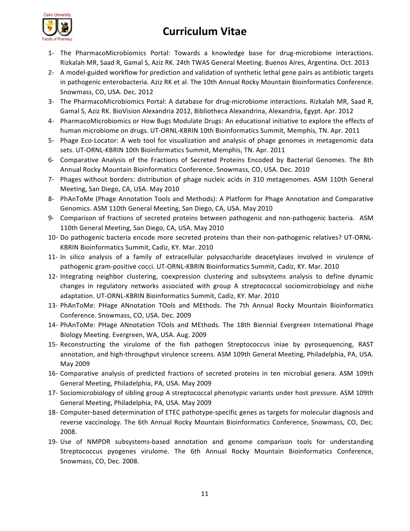

- 1- The PharmacoMicrobiomics Portal: Towards a knowledge base for drug-microbiome interactions. Rizkalah MR, Saad R, Gamal S, Aziz RK. 24th TWAS General Meeting. Buenos Aires, Argentina. Oct. 2013
- 2- A model-guided workflow for prediction and validation of synthetic lethal gene pairs as antibiotic targets in pathogenic enterobacteria. Aziz RK et al. The 10th Annual Rocky Mountain Bioinformatics Conference. Snowmass, CO, USA. Dec. 2012
- 3- The PharmacoMicrobiomics Portal: A database for drug-microbiome interactions. Rizkalah MR, Saad R, Gamal S, Aziz RK. BioVision Alexandria 2012, Bibliotheca Alexandrina, Alexandria, Egypt. Apr. 2012
- 4- PharmacoMicrobiomics or How Bugs Modulate Drugs: An educational initiative to explore the effects of human microbiome on drugs. UT-ORNL-KBRIN 10th Bioinformatics Summit, Memphis, TN. Apr. 2011
- 5- Phage Eco-Locator: A web tool for visualization and analysis of phage genomes in metagenomic data sets. UT-ORNL-KBRIN 10th Bioinformatics Summit, Memphis, TN. Apr. 2011
- 6- Comparative Analysis of the Fractions of Secreted Proteins Encoded by Bacterial Genomes. The 8th Annual Rocky Mountain Bioinformatics Conference. Snowmass, CO, USA. Dec. 2010
- 7- Phages without borders: distribution of phage nucleic acids in 310 metagenomes. ASM 110th General Meeting, San Diego, CA, USA. May 2010
- 8- PhAnToMe (Phage Annotation Tools and Methods): A Platform for Phage Annotation and Comparative Genomics. ASM 110th General Meeting, San Diego, CA, USA. May 2010
- 9- Comparison of fractions of secreted proteins between pathogenic and non-pathogenic bacteria. ASM 110th General Meeting, San Diego, CA, USA. May 2010
- 10- Do pathogenic bacteria encode more secreted proteins than their non-pathogenic relatives? UT-ORNL-KBRIN Bioinformatics Summit, Cadiz, KY. Mar. 2010
- 11- In silico analysis of a family of extracellular polysaccharide deacetylases involved in virulence of pathogenic gram-positive cocci. UT-ORNL-KBRIN Bioinformatics Summit, Cadiz, KY. Mar. 2010
- 12- Integrating neighbor clustering, coexpression clustering and subsystems analysis to define dynamic changes in regulatory networks associated with group A streptococcal sociomicrobiology and niche adaptation. UT-ORNL-KBRIN Bioinformatics Summit, Cadiz, KY. Mar. 2010
- 13- PhAnToMe: PHage ANnotation TOols and MEthods. The 7th Annual Rocky Mountain Bioinformatics Conference. Snowmass, CO, USA. Dec. 2009
- 14- PhAnToMe: PHage ANnotation TOols and MEthods. The 18th Biennial Evergreen International Phage Biology Meeting. Evergreen, WA, USA. Aug. 2009
- 15- Reconstructing the virulome of the fish pathogen Streptococcus iniae by pyrosequencing, RAST annotation, and high-throughput virulence screens. ASM 109th General Meeting, Philadelphia, PA, USA. May 2009
- 16- Comparative analysis of predicted fractions of secreted proteins in ten microbial genera. ASM 109th General Meeting, Philadelphia, PA, USA. May 2009
- 17- Sociomicrobiology of sibling group A streptococcal phenotypic variants under host pressure. ASM 109th General Meeting, Philadelphia, PA, USA. May 2009
- 18- Computer-based determination of ETEC pathotype-specific genes as targets for molecular diagnosis and reverse vaccinology. The 6th Annual Rocky Mountain Bioinformatics Conference, Snowmass, CO, Dec. 2008.
- 19- Use of NMPDR subsystems-based annotation and genome comparison tools for understanding Streptococcus pyogenes virulome. The 6th Annual Rocky Mountain Bioinformatics Conference, Snowmass, CO, Dec. 2008.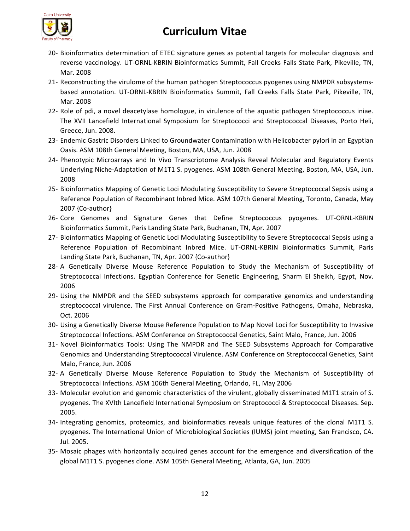

- 20- Bioinformatics determination of ETEC signature genes as potential targets for molecular diagnosis and reverse vaccinology. UT-ORNL-KBRIN Bioinformatics Summit, Fall Creeks Falls State Park, Pikeville, TN, Mar. 2008
- 21- Reconstructing the virulome of the human pathogen Streptococcus pyogenes using NMPDR subsystemsbased annotation. UT-ORNL-KBRIN Bioinformatics Summit, Fall Creeks Falls State Park, Pikeville, TN, Mar. 2008
- 22- Role of pdi, a novel deacetylase homologue, in virulence of the aquatic pathogen Streptococcus iniae. The XVII Lancefield International Symposium for Streptococci and Streptococcal Diseases, Porto Heli, Greece, Jun. 2008.
- 23- Endemic Gastric Disorders Linked to Groundwater Contamination with Helicobacter pylori in an Egyptian Oasis. ASM 108th General Meeting, Boston, MA, USA, Jun. 2008
- 24- Phenotypic Microarrays and In Vivo Transcriptome Analysis Reveal Molecular and Regulatory Events Underlying Niche-Adaptation of M1T1 S. pyogenes. ASM 108th General Meeting, Boston, MA, USA, Jun. 2008
- 25- Bioinformatics Mapping of Genetic Loci Modulating Susceptibility to Severe Streptococcal Sepsis using a Reference Population of Recombinant Inbred Mice. ASM 107th General Meeting, Toronto, Canada, May  $2007$  {Co-author}
- 26- Core Genomes and Signature Genes that Define Streptococcus pyogenes. UT-ORNL-KBRIN Bioinformatics Summit, Paris Landing State Park, Buchanan, TN, Apr. 2007
- 27- Bioinformatics Mapping of Genetic Loci Modulating Susceptibility to Severe Streptococcal Sepsis using a Reference Population of Recombinant Inbred Mice. UT-ORNL-KBRIN Bioinformatics Summit, Paris Landing State Park, Buchanan, TN, Apr. 2007 {Co-author}
- 28- A Genetically Diverse Mouse Reference Population to Study the Mechanism of Susceptibility of Streptococcal Infections. Egyptian Conference for Genetic Engineering, Sharm El Sheikh, Egypt, Nov. 2006
- 29- Using the NMPDR and the SEED subsystems approach for comparative genomics and understanding streptococcal virulence. The First Annual Conference on Gram-Positive Pathogens, Omaha, Nebraska, Oct. 2006
- 30- Using a Genetically Diverse Mouse Reference Population to Map Novel Loci for Susceptibility to Invasive Streptococcal Infections. ASM Conference on Streptococcal Genetics, Saint Malo, France, Jun. 2006
- 31- Novel Bioinformatics Tools: Using The NMPDR and The SEED Subsystems Approach for Comparative Genomics and Understanding Streptococcal Virulence. ASM Conference on Streptococcal Genetics, Saint Malo, France, Jun. 2006
- 32- A Genetically Diverse Mouse Reference Population to Study the Mechanism of Susceptibility of Streptococcal Infections. ASM 106th General Meeting, Orlando, FL, May 2006
- 33- Molecular evolution and genomic characteristics of the virulent, globally disseminated M1T1 strain of S. pyogenes. The XVIth Lancefield International Symposium on Streptococci & Streptococcal Diseases. Sep. 2005.
- 34- Integrating genomics, proteomics, and bioinformatics reveals unique features of the clonal M1T1 S. pyogenes. The International Union of Microbiological Societies (IUMS) joint meeting, San Francisco, CA. Jul. 2005.
- 35- Mosaic phages with horizontally acquired genes account for the emergence and diversification of the global M1T1 S. pyogenes clone. ASM 105th General Meeting, Atlanta, GA, Jun. 2005